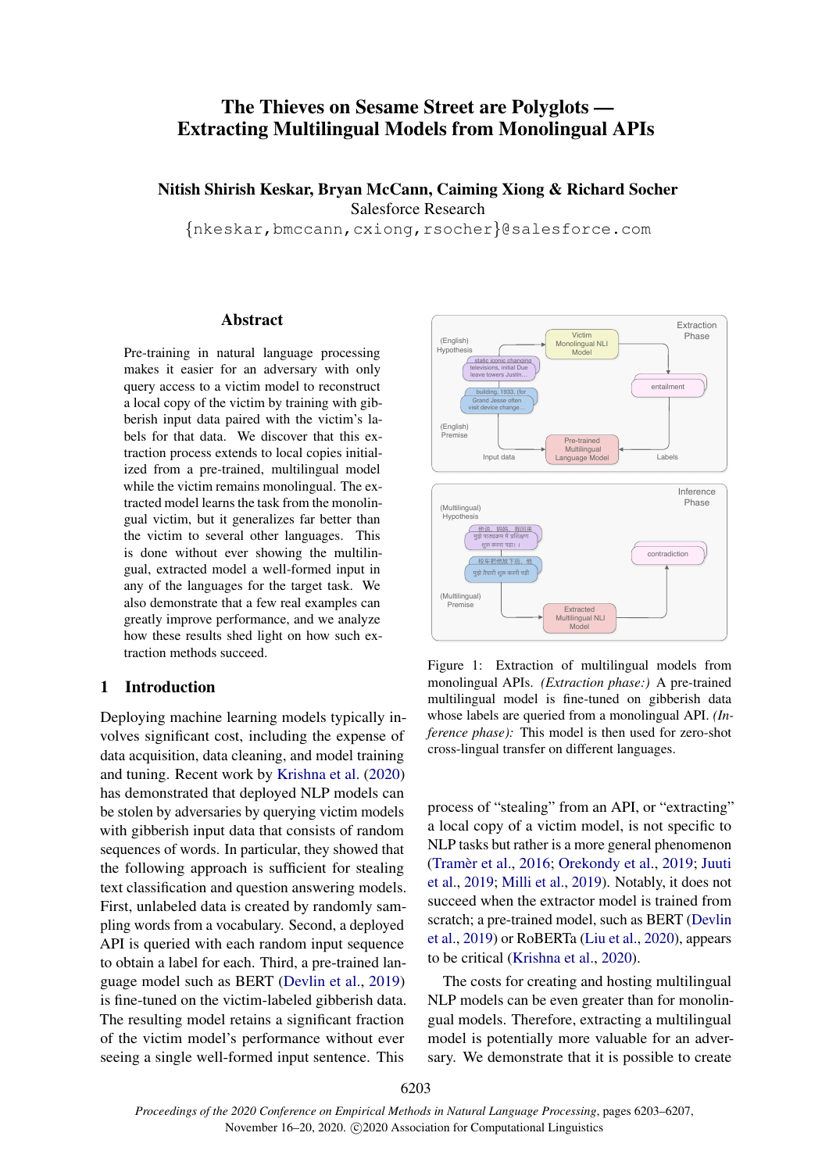# The Thieves on Sesame Street are Polyglots — Extracting Multilingual Models from Monolingual APIs

# Nitish Shirish Keskar, Bryan McCann, Caiming Xiong & Richard Socher Salesforce Research

{nkeskar,bmccann,cxiong,rsocher}@salesforce.com

#### Abstract

Pre-training in natural language processing makes it easier for an adversary with only query access to a victim model to reconstruct a local copy of the victim by training with gibberish input data paired with the victim's labels for that data. We discover that this extraction process extends to local copies initialized from a pre-trained, multilingual model while the victim remains monolingual. The extracted model learns the task from the monolingual victim, but it generalizes far better than the victim to several other languages. This is done without ever showing the multilingual, extracted model a well-formed input in any of the languages for the target task. We also demonstrate that a few real examples can greatly improve performance, and we analyze how these results shed light on how such extraction methods succeed.

#### 1 Introduction

Deploying machine learning models typically involves significant cost, including the expense of data acquisition, data cleaning, and model training and tuning. Recent work by [Krishna et al.](#page-4-0) [\(2020\)](#page-4-0) has demonstrated that deployed NLP models can be stolen by adversaries by querying victim models with gibberish input data that consists of random sequences of words. In particular, they showed that the following approach is sufficient for stealing text classification and question answering models. First, unlabeled data is created by randomly sampling words from a vocabulary. Second, a deployed API is queried with each random input sequence to obtain a label for each. Third, a pre-trained language model such as BERT [\(Devlin et al.,](#page-4-1) [2019\)](#page-4-1) is fine-tuned on the victim-labeled gibberish data. The resulting model retains a significant fraction of the victim model's performance without ever seeing a single well-formed input sentence. This



Figure 1: Extraction of multilingual models from monolingual APIs. *(Extraction phase:)* A pre-trained multilingual model is fine-tuned on gibberish data whose labels are queried from a monolingual API. *(Inference phase):* This model is then used for zero-shot cross-lingual transfer on different languages.

process of "stealing" from an API, or "extracting" a local copy of a victim model, is not specific to NLP tasks but rather is a more general phenomenon (Tramèr et al., [2016;](#page-4-2) [Orekondy et al.,](#page-4-3) [2019;](#page-4-3) [Juuti](#page-4-4) [et al.,](#page-4-4) [2019;](#page-4-4) [Milli et al.,](#page-4-5) [2019\)](#page-4-5). Notably, it does not succeed when the extractor model is trained from scratch; a pre-trained model, such as BERT [\(Devlin](#page-4-1) [et al.,](#page-4-1) [2019\)](#page-4-1) or RoBERTa [\(Liu et al.,](#page-4-6) [2020\)](#page-4-6), appears to be critical [\(Krishna et al.,](#page-4-0) [2020\)](#page-4-0).

The costs for creating and hosting multilingual NLP models can be even greater than for monolingual models. Therefore, extracting a multilingual model is potentially more valuable for an adversary. We demonstrate that it is possible to create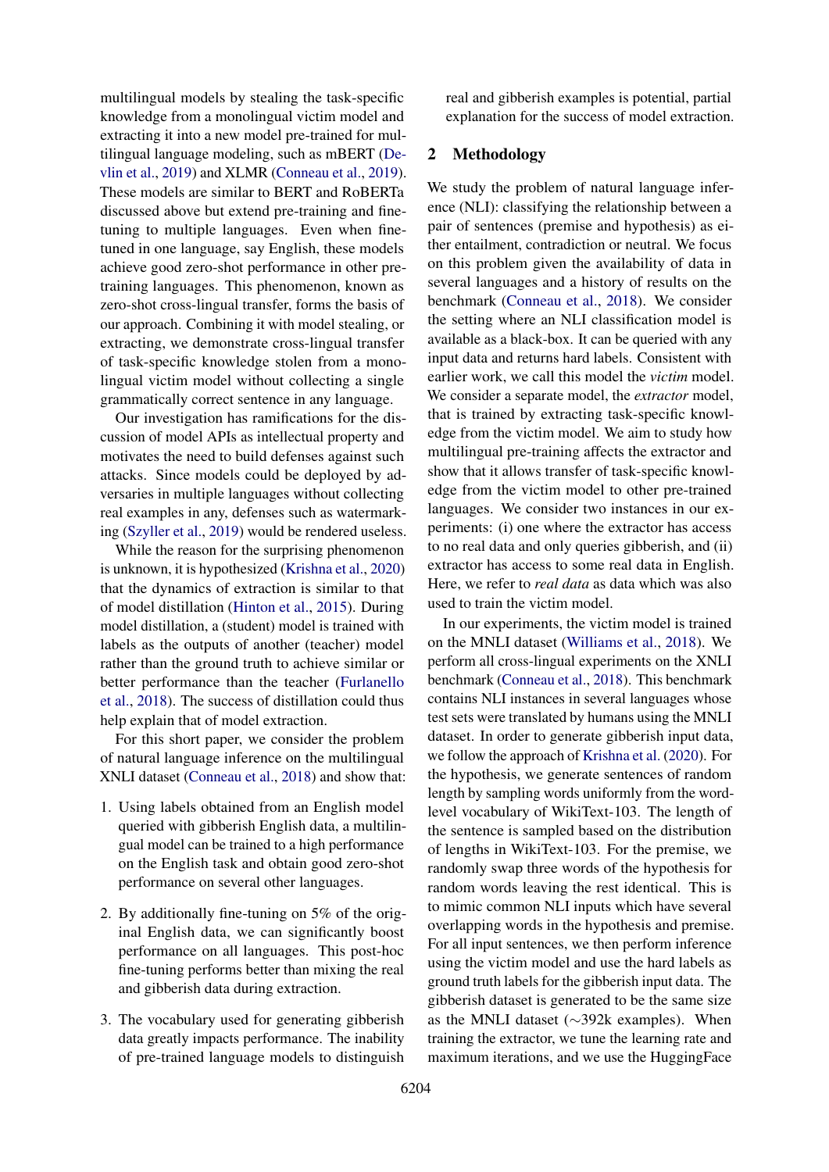multilingual models by stealing the task-specific knowledge from a monolingual victim model and extracting it into a new model pre-trained for multilingual language modeling, such as mBERT [\(De](#page-4-1)[vlin et al.,](#page-4-1) [2019\)](#page-4-1) and XLMR [\(Conneau et al.,](#page-4-7) [2019\)](#page-4-7). These models are similar to BERT and RoBERTa discussed above but extend pre-training and finetuning to multiple languages. Even when finetuned in one language, say English, these models achieve good zero-shot performance in other pretraining languages. This phenomenon, known as zero-shot cross-lingual transfer, forms the basis of our approach. Combining it with model stealing, or extracting, we demonstrate cross-lingual transfer of task-specific knowledge stolen from a monolingual victim model without collecting a single grammatically correct sentence in any language.

Our investigation has ramifications for the discussion of model APIs as intellectual property and motivates the need to build defenses against such attacks. Since models could be deployed by adversaries in multiple languages without collecting real examples in any, defenses such as watermarking [\(Szyller et al.,](#page-4-8) [2019\)](#page-4-8) would be rendered useless.

While the reason for the surprising phenomenon is unknown, it is hypothesized [\(Krishna et al.,](#page-4-0) [2020\)](#page-4-0) that the dynamics of extraction is similar to that of model distillation [\(Hinton et al.,](#page-4-9) [2015\)](#page-4-9). During model distillation, a (student) model is trained with labels as the outputs of another (teacher) model rather than the ground truth to achieve similar or better performance than the teacher [\(Furlanello](#page-4-10) [et al.,](#page-4-10) [2018\)](#page-4-10). The success of distillation could thus help explain that of model extraction.

For this short paper, we consider the problem of natural language inference on the multilingual XNLI dataset [\(Conneau et al.,](#page-4-11) [2018\)](#page-4-11) and show that:

- 1. Using labels obtained from an English model queried with gibberish English data, a multilingual model can be trained to a high performance on the English task and obtain good zero-shot performance on several other languages.
- 2. By additionally fine-tuning on 5% of the original English data, we can significantly boost performance on all languages. This post-hoc fine-tuning performs better than mixing the real and gibberish data during extraction.
- 3. The vocabulary used for generating gibberish data greatly impacts performance. The inability of pre-trained language models to distinguish

real and gibberish examples is potential, partial explanation for the success of model extraction.

# 2 Methodology

We study the problem of natural language inference (NLI): classifying the relationship between a pair of sentences (premise and hypothesis) as either entailment, contradiction or neutral. We focus on this problem given the availability of data in several languages and a history of results on the benchmark [\(Conneau et al.,](#page-4-11) [2018\)](#page-4-11). We consider the setting where an NLI classification model is available as a black-box. It can be queried with any input data and returns hard labels. Consistent with earlier work, we call this model the *victim* model. We consider a separate model, the *extractor* model, that is trained by extracting task-specific knowledge from the victim model. We aim to study how multilingual pre-training affects the extractor and show that it allows transfer of task-specific knowledge from the victim model to other pre-trained languages. We consider two instances in our experiments: (i) one where the extractor has access to no real data and only queries gibberish, and (ii) extractor has access to some real data in English. Here, we refer to *real data* as data which was also used to train the victim model.

In our experiments, the victim model is trained on the MNLI dataset [\(Williams et al.,](#page-4-12) [2018\)](#page-4-12). We perform all cross-lingual experiments on the XNLI benchmark [\(Conneau et al.,](#page-4-11) [2018\)](#page-4-11). This benchmark contains NLI instances in several languages whose test sets were translated by humans using the MNLI dataset. In order to generate gibberish input data, we follow the approach of [Krishna et al.](#page-4-0) [\(2020\)](#page-4-0). For the hypothesis, we generate sentences of random length by sampling words uniformly from the wordlevel vocabulary of WikiText-103. The length of the sentence is sampled based on the distribution of lengths in WikiText-103. For the premise, we randomly swap three words of the hypothesis for random words leaving the rest identical. This is to mimic common NLI inputs which have several overlapping words in the hypothesis and premise. For all input sentences, we then perform inference using the victim model and use the hard labels as ground truth labels for the gibberish input data. The gibberish dataset is generated to be the same size as the MNLI dataset (∼392k examples). When training the extractor, we tune the learning rate and maximum iterations, and we use the HuggingFace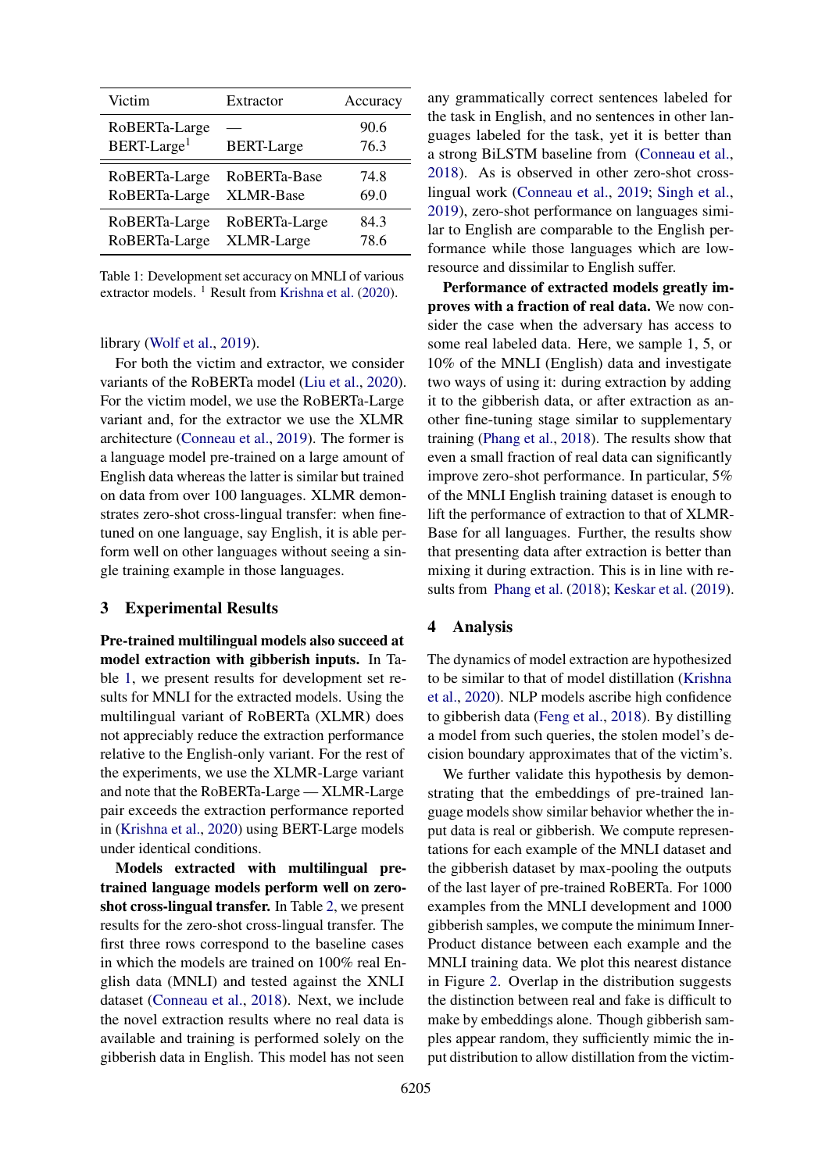<span id="page-2-0"></span>

| Victim                                   | Extractor         | Accuracy     |
|------------------------------------------|-------------------|--------------|
| RoBERTa-Large<br>BERT-Large <sup>1</sup> | <b>BERT-Large</b> | 90.6<br>76.3 |
| RoBERTa-Large                            | RoBERTa-Base      | 74.8         |
| RoBERTa-Large                            | <b>XLMR-Base</b>  | 69.0         |
| RoBERTa-Large                            | RoBERTa-Large     | 84.3         |
| RoBERTa-Large                            | XLMR-Large        | 78.6         |

Table 1: Development set accuracy on MNLI of various extractor models. <sup>1</sup> Result from [Krishna et al.](#page-4-0) [\(2020\)](#page-4-0).

## library [\(Wolf et al.,](#page-4-13) [2019\)](#page-4-13).

For both the victim and extractor, we consider variants of the RoBERTa model [\(Liu et al.,](#page-4-6) [2020\)](#page-4-6). For the victim model, we use the RoBERTa-Large variant and, for the extractor we use the XLMR architecture [\(Conneau et al.,](#page-4-7) [2019\)](#page-4-7). The former is a language model pre-trained on a large amount of English data whereas the latter is similar but trained on data from over 100 languages. XLMR demonstrates zero-shot cross-lingual transfer: when finetuned on one language, say English, it is able perform well on other languages without seeing a single training example in those languages.

#### 3 Experimental Results

Pre-trained multilingual models also succeed at model extraction with gibberish inputs. In Table [1,](#page-2-0) we present results for development set results for MNLI for the extracted models. Using the multilingual variant of RoBERTa (XLMR) does not appreciably reduce the extraction performance relative to the English-only variant. For the rest of the experiments, we use the XLMR-Large variant and note that the RoBERTa-Large — XLMR-Large pair exceeds the extraction performance reported in [\(Krishna et al.,](#page-4-0) [2020\)](#page-4-0) using BERT-Large models under identical conditions.

Models extracted with multilingual pretrained language models perform well on zeroshot cross-lingual transfer. In Table [2,](#page-3-0) we present results for the zero-shot cross-lingual transfer. The first three rows correspond to the baseline cases in which the models are trained on 100% real English data (MNLI) and tested against the XNLI dataset [\(Conneau et al.,](#page-4-11) [2018\)](#page-4-11). Next, we include the novel extraction results where no real data is available and training is performed solely on the gibberish data in English. This model has not seen

any grammatically correct sentences labeled for the task in English, and no sentences in other languages labeled for the task, yet it is better than a strong BiLSTM baseline from [\(Conneau et al.,](#page-4-11) [2018\)](#page-4-11). As is observed in other zero-shot crosslingual work [\(Conneau et al.,](#page-4-7) [2019;](#page-4-7) [Singh et al.,](#page-4-14) [2019\)](#page-4-14), zero-shot performance on languages similar to English are comparable to the English performance while those languages which are lowresource and dissimilar to English suffer.

Performance of extracted models greatly improves with a fraction of real data. We now consider the case when the adversary has access to some real labeled data. Here, we sample 1, 5, or 10% of the MNLI (English) data and investigate two ways of using it: during extraction by adding it to the gibberish data, or after extraction as another fine-tuning stage similar to supplementary training [\(Phang et al.,](#page-4-15) [2018\)](#page-4-15). The results show that even a small fraction of real data can significantly improve zero-shot performance. In particular, 5% of the MNLI English training dataset is enough to lift the performance of extraction to that of XLMR-Base for all languages. Further, the results show that presenting data after extraction is better than mixing it during extraction. This is in line with results from [Phang et al.](#page-4-15) [\(2018\)](#page-4-15); [Keskar et al.](#page-4-16) [\(2019\)](#page-4-16).

#### 4 Analysis

The dynamics of model extraction are hypothesized to be similar to that of model distillation [\(Krishna](#page-4-0) [et al.,](#page-4-0) [2020\)](#page-4-0). NLP models ascribe high confidence to gibberish data [\(Feng et al.,](#page-4-17) [2018\)](#page-4-17). By distilling a model from such queries, the stolen model's decision boundary approximates that of the victim's.

We further validate this hypothesis by demonstrating that the embeddings of pre-trained language models show similar behavior whether the input data is real or gibberish. We compute representations for each example of the MNLI dataset and the gibberish dataset by max-pooling the outputs of the last layer of pre-trained RoBERTa. For 1000 examples from the MNLI development and 1000 gibberish samples, we compute the minimum Inner-Product distance between each example and the MNLI training data. We plot this nearest distance in Figure [2.](#page-3-1) Overlap in the distribution suggests the distinction between real and fake is difficult to make by embeddings alone. Though gibberish samples appear random, they sufficiently mimic the input distribution to allow distillation from the victim-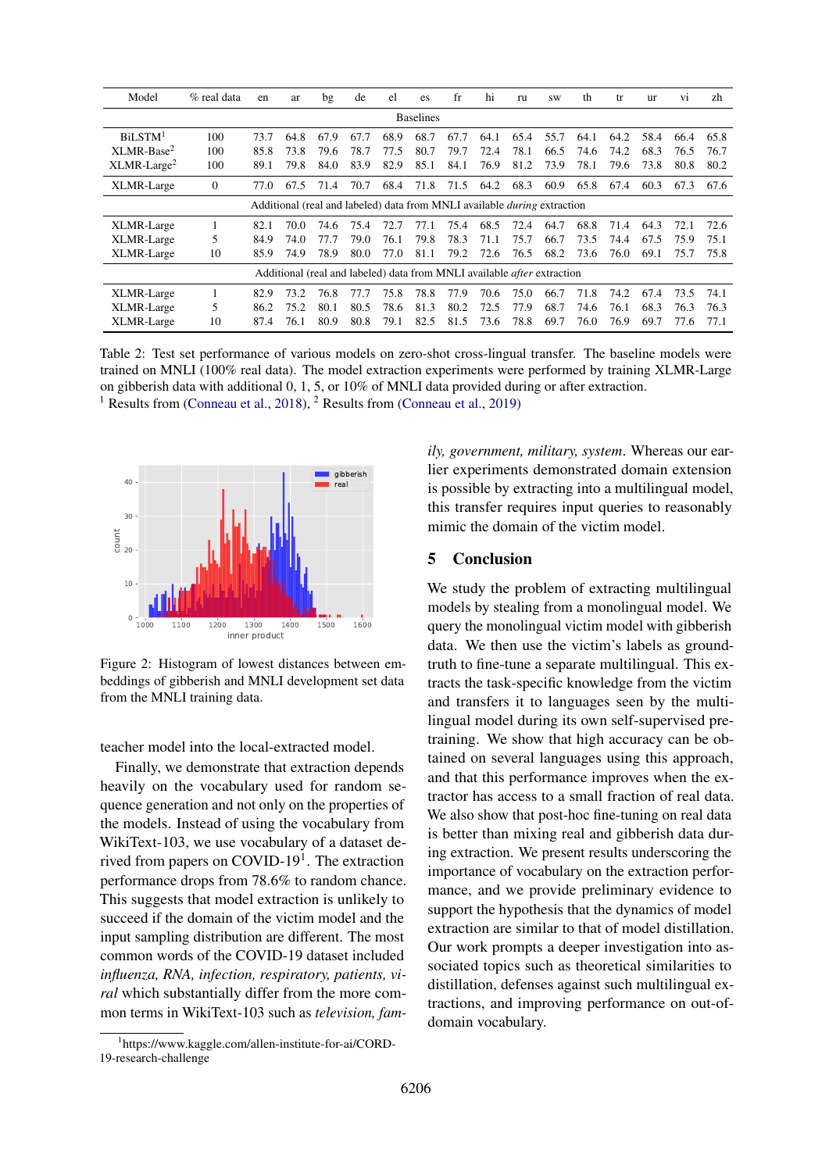<span id="page-3-0"></span>

| Model                                                                           | $%$ real data | en   | ar   | bg   | de   | el   | es   | $_{\rm fr}$ | hi   | ru   | <b>SW</b> | th   | tr   | ur   | V <sub>1</sub> | zh   |
|---------------------------------------------------------------------------------|---------------|------|------|------|------|------|------|-------------|------|------|-----------|------|------|------|----------------|------|
| <b>Baselines</b>                                                                |               |      |      |      |      |      |      |             |      |      |           |      |      |      |                |      |
| BiLSTM <sup>1</sup>                                                             | 100           | 73.7 | 64.8 | 67.9 | 67.7 | 68.9 | 68.7 | 67.7        | 64.1 | 65.4 | 55.7      | 64.1 | 64.2 | 58.4 | 66.4           | 65.8 |
| XLMR-Base <sup>2</sup>                                                          | 100           | 85.8 | 73.8 | 79.6 | 78.7 | 77.5 | 80.7 | 79.7        | 72.4 | 78.1 | 66.5      | 74.6 | 74.2 | 68.3 | 76.5           | 76.7 |
| $XLMR-Large2$                                                                   | 100           | 89.1 | 79.8 | 84.0 | 83.9 | 82.9 | 85.1 | 84.1        | 76.9 | 81.2 | 73.9      | 78.1 | 79.6 | 73.8 | 80.8           | 80.2 |
| XLMR-Large                                                                      | $\mathbf{0}$  | 77.0 | 67.5 | 71.4 | 70.7 | 68.4 | 71.8 | 71.5        | 64.2 | 68.3 | 60.9      | 65.8 | 67.4 | 60.3 | 67.3           | 67.6 |
| Additional (real and labeled) data from MNLI available <i>during</i> extraction |               |      |      |      |      |      |      |             |      |      |           |      |      |      |                |      |
| XLMR-Large                                                                      |               | 82.1 | 70.0 | 74.6 | 75.4 | 72.7 | 77.1 | 75.4        | 68.5 | 72.4 | 64.7      | 68.8 | 71.4 | 64.3 | 72.1           | 72.6 |
| XLMR-Large                                                                      | 5             | 84.9 | 74.0 | 77.7 | 79.0 | 76.1 | 79.8 | 78.3        | 71.1 | 75.7 | 66.7      | 73.5 | 74.4 | 67.5 | 75.9           | 75.1 |
| XLMR-Large                                                                      | 10            | 85.9 | 74.9 | 78.9 | 80.0 | 77.0 | 81.1 | 79.2        | 72.6 | 76.5 | 68.2      | 73.6 | 76.0 | 69.1 | 75.7           | 75.8 |
| Additional (real and labeled) data from MNLI available <i>after</i> extraction  |               |      |      |      |      |      |      |             |      |      |           |      |      |      |                |      |
| XLMR-Large                                                                      |               | 82.9 | 73.2 | 76.8 | 77.7 | 75.8 | 78.8 | 77.9        | 70.6 | 75.0 | 66.7      | 71.8 | 74.2 | 67.4 | 73.5           | 74.1 |
| XLMR-Large                                                                      | 5             | 86.2 | 75.2 | 80.1 | 80.5 | 78.6 | 81.3 | 80.2        | 72.5 | 77.9 | 68.7      | 74.6 | 76.1 | 68.3 | 76.3           | 76.3 |
| XLMR-Large                                                                      | 10            | 87.4 | 76.1 | 80.9 | 80.8 | 79.1 | 82.5 | 81.5        | 73.6 | 78.8 | 69.7      | 76.0 | 76.9 | 69.7 | 77.6           | 77.1 |

Table 2: Test set performance of various models on zero-shot cross-lingual transfer. The baseline models were trained on MNLI (100% real data). The model extraction experiments were performed by training XLMR-Large on gibberish data with additional 0, 1, 5, or 10% of MNLI data provided during or after extraction. <sup>1</sup> Results from [\(Conneau et al.,](#page-4-7) [2018\)](#page-4-11), <sup>2</sup> Results from (Conneau et al., [2019\)](#page-4-7)

<span id="page-3-1"></span>

Figure 2: Histogram of lowest distances between embeddings of gibberish and MNLI development set data from the MNLI training data.

teacher model into the local-extracted model.

Finally, we demonstrate that extraction depends heavily on the vocabulary used for random sequence generation and not only on the properties of the models. Instead of using the vocabulary from WikiText-103, we use vocabulary of a dataset de-rived from papers on COVID-[1](#page-3-2)9<sup>1</sup>. The extraction performance drops from 78.6% to random chance. This suggests that model extraction is unlikely to succeed if the domain of the victim model and the input sampling distribution are different. The most common words of the COVID-19 dataset included *influenza, RNA, infection, respiratory, patients, viral* which substantially differ from the more common terms in WikiText-103 such as *television, fam-* *ily, government, military, system*. Whereas our earlier experiments demonstrated domain extension is possible by extracting into a multilingual model, this transfer requires input queries to reasonably mimic the domain of the victim model.

## 5 Conclusion

We study the problem of extracting multilingual models by stealing from a monolingual model. We query the monolingual victim model with gibberish data. We then use the victim's labels as groundtruth to fine-tune a separate multilingual. This extracts the task-specific knowledge from the victim and transfers it to languages seen by the multilingual model during its own self-supervised pretraining. We show that high accuracy can be obtained on several languages using this approach, and that this performance improves when the extractor has access to a small fraction of real data. We also show that post-hoc fine-tuning on real data is better than mixing real and gibberish data during extraction. We present results underscoring the importance of vocabulary on the extraction performance, and we provide preliminary evidence to support the hypothesis that the dynamics of model extraction are similar to that of model distillation. Our work prompts a deeper investigation into associated topics such as theoretical similarities to distillation, defenses against such multilingual extractions, and improving performance on out-ofdomain vocabulary.

<span id="page-3-2"></span><sup>1</sup> https://www.kaggle.com/allen-institute-for-ai/CORD-19-research-challenge